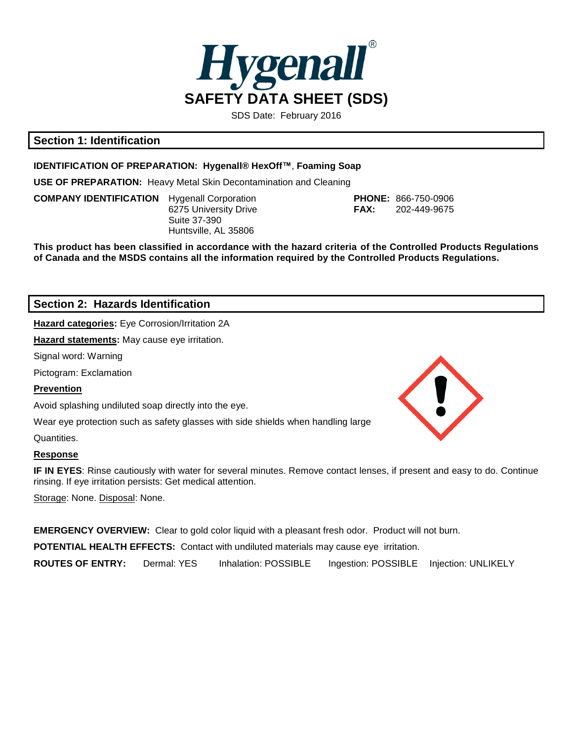

SDS Date: February 2016

# **Section 1: Identification**

### **IDENTIFICATION OF PREPARATION: Hygenall® HexOff™**, **Foaming Soap**

**USE OF PREPARATION:** Heavy Metal Skin Decontamination and Cleaning

**COMPANY IDENTIFICATION** Hygenall Corporation **PHONE:** 866-750-0906 Suite 37-390 Huntsville, AL 35806

6275 University Drive **FAX:** 202-449-9675

**This product has been classified in accordance with the hazard criteria of the Controlled Products Regulations of Canada and the MSDS contains all the information required by the Controlled Products Regulations.**

## **Section 2: Hazards Identification**

**Hazard categories:** Eye Corrosion/Irritation 2A

**Hazard statements:** May cause eye irritation.

Signal word: Warning

Pictogram: Exclamation

## **Prevention**

Avoid splashing undiluted soap directly into the eye.

Wear eye protection such as safety glasses with side shields when handling large

Quantities.

## **Response**

**IF IN EYES**: Rinse cautiously with water for several minutes. Remove contact lenses, if present and easy to do. Continue rinsing. If eye irritation persists: Get medical attention.

Storage: None. Disposal: None.

**EMERGENCY OVERVIEW:** Clear to gold color liquid with a pleasant fresh odor. Product will not burn. **POTENTIAL HEALTH EFFECTS: Contact with undiluted materials may cause eye irritation. ROUTES OF ENTRY:** Dermal: YES Inhalation: POSSIBLE Ingestion: POSSIBLE Injection: UNLIKELY

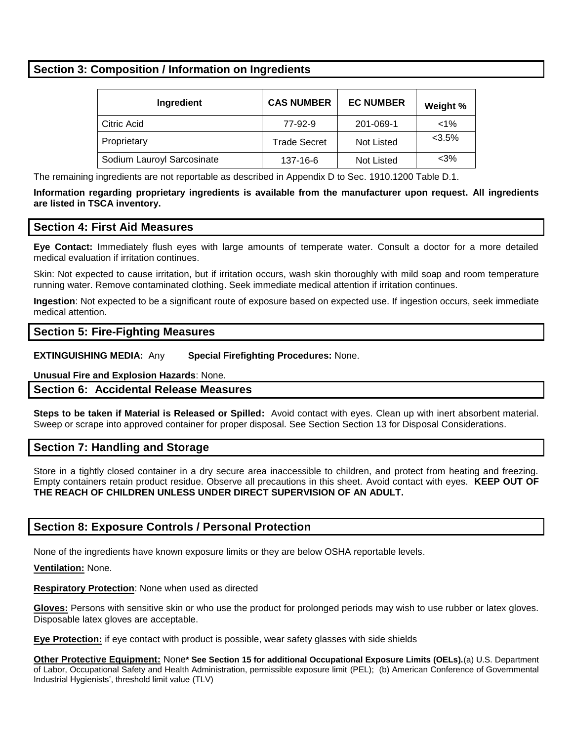# **Section 3: Composition / Information on Ingredients**

| Ingredient                 | <b>CAS NUMBER</b>   | <b>EC NUMBER</b> | Weight % |
|----------------------------|---------------------|------------------|----------|
| Citric Acid                | 77-92-9             | 201-069-1        | $< 1\%$  |
| Proprietary                | <b>Trade Secret</b> | Not Listed       | $<3.5\%$ |
| Sodium Lauroyl Sarcosinate | 137-16-6            | Not Listed       | $<$ 3%   |

The remaining ingredients are not reportable as described in Appendix D to Sec. 1910.1200 Table D.1.

**Information regarding proprietary ingredients is available from the manufacturer upon request. All ingredients are listed in TSCA inventory.**

## **Section 4: First Aid Measures**

**Eye Contact:** Immediately flush eyes with large amounts of temperate water. Consult a doctor for a more detailed medical evaluation if irritation continues.

Skin: Not expected to cause irritation, but if irritation occurs, wash skin thoroughly with mild soap and room temperature running water. Remove contaminated clothing. Seek immediate medical attention if irritation continues.

**Ingestion**: Not expected to be a significant route of exposure based on expected use. If ingestion occurs, seek immediate medical attention.

## **Section 5: Fire-Fighting Measures**

**EXTINGUISHING MEDIA:** Any **Special Firefighting Procedures:** None.

**Unusual Fire and Explosion Hazards**: None.

## **Section 6: Accidental Release Measures**

**Steps to be taken if Material is Released or Spilled:** Avoid contact with eyes. Clean up with inert absorbent material. Sweep or scrape into approved container for proper disposal. See Section Section 13 for Disposal Considerations.

## **Section 7: Handling and Storage**

Store in a tightly closed container in a dry secure area inaccessible to children, and protect from heating and freezing. Empty containers retain product residue. Observe all precautions in this sheet. Avoid contact with eyes. **KEEP OUT OF THE REACH OF CHILDREN UNLESS UNDER DIRECT SUPERVISION OF AN ADULT.**

## **Section 8: Exposure Controls / Personal Protection**

None of the ingredients have known exposure limits or they are below OSHA reportable levels.

#### **Ventilation:** None.

**Respiratory Protection**: None when used as directed

**Gloves:** Persons with sensitive skin or who use the product for prolonged periods may wish to use rubber or latex gloves. Disposable latex gloves are acceptable.

**Eye Protection:** if eye contact with product is possible, wear safety glasses with side shields

**Other Protective Equipment:** None**\* See Section 15 for additional Occupational Exposure Limits (OELs).**(a) U.S. Department of Labor, Occupational Safety and Health Administration, permissible exposure limit (PEL); (b) American Conference of Governmental Industrial Hygienists', threshold limit value (TLV)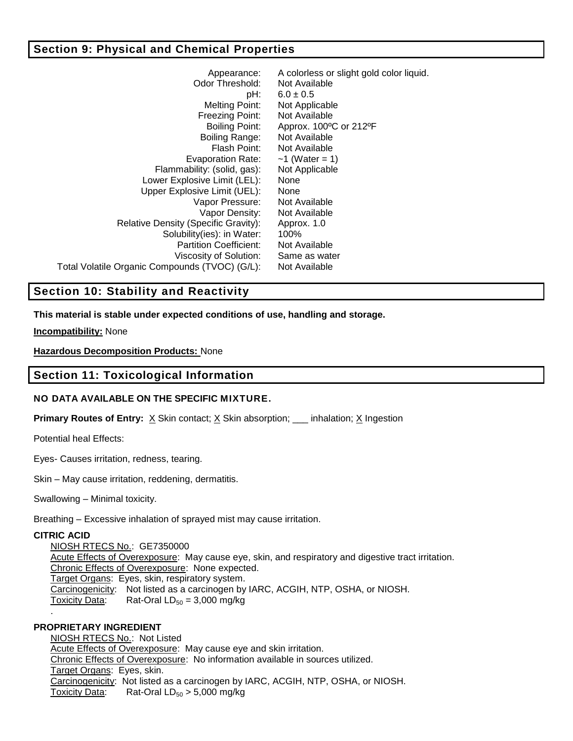# **Section 9: Physical and Chemical Properties**

| Appearance:<br>Odor Threshold:                 | A colorless or slight gold color liquid.<br>Not Available |  |  |
|------------------------------------------------|-----------------------------------------------------------|--|--|
| pH:                                            | $6.0 \pm 0.5$                                             |  |  |
| Melting Point:                                 | Not Applicable                                            |  |  |
| Freezing Point:                                | Not Available                                             |  |  |
| Boiling Point:                                 | Approx. 100°C or 212°F                                    |  |  |
| Boiling Range:                                 | Not Available                                             |  |  |
| Flash Point:                                   | Not Available                                             |  |  |
| Evaporation Rate:                              | $-1$ (Water = 1)                                          |  |  |
| Flammability: (solid, gas):                    | Not Applicable                                            |  |  |
| Lower Explosive Limit (LEL):                   | None                                                      |  |  |
| Upper Explosive Limit (UEL):                   | None                                                      |  |  |
| Vapor Pressure:                                | Not Available                                             |  |  |
| Vapor Density:                                 | Not Available                                             |  |  |
| Relative Density (Specific Gravity):           | Approx. 1.0                                               |  |  |
| Solubility(ies): in Water:                     | 100%                                                      |  |  |
| <b>Partition Coefficient:</b>                  | Not Available                                             |  |  |
| Viscosity of Solution:                         | Same as water                                             |  |  |
| Total Volatile Organic Compounds (TVOC) (G/L): | Not Available                                             |  |  |
|                                                |                                                           |  |  |

# **Section 10: Stability and Reactivity**

**This material is stable under expected conditions of use, handling and storage.**

**Incompatibility:** None

**Hazardous Decomposition Products:** None

## **Section 11: Toxicological Information**

## **NO DATA AVAILABLE ON THE SPECIFIC MIXTURE.**

**Primary Routes of Entry:**  $\underline{X}$  Skin contact;  $\underline{X}$  Skin absorption; \_\_\_ inhalation;  $\underline{X}$  Ingestion

Potential heal Effects:

Eyes- Causes irritation, redness, tearing.

Skin – May cause irritation, reddening, dermatitis.

Swallowing – Minimal toxicity.

Breathing – Excessive inhalation of sprayed mist may cause irritation.

## **CITRIC ACID**

NIOSH RTECS No.: GE7350000 Acute Effects of Overexposure: May cause eye, skin, and respiratory and digestive tract irritation. Chronic Effects of Overexposure: None expected. Target Organs: Eyes, skin, respiratory system. Carcinogenicity: Not listed as a carcinogen by IARC, ACGIH, NTP, OSHA, or NIOSH. Toxicity Data: Rat-Oral  $LD_{50} = 3,000$  mg/kg .

## **PROPRIETARY INGREDIENT**

NIOSH RTECS No.: Not Listed Acute Effects of Overexposure: May cause eye and skin irritation. Chronic Effects of Overexposure: No information available in sources utilized. Target Organs: Eyes, skin. Carcinogenicity: Not listed as a carcinogen by IARC, ACGIH, NTP, OSHA, or NIOSH. Toxicity Data: Rat-Oral  $LD_{50} > 5,000$  mg/kg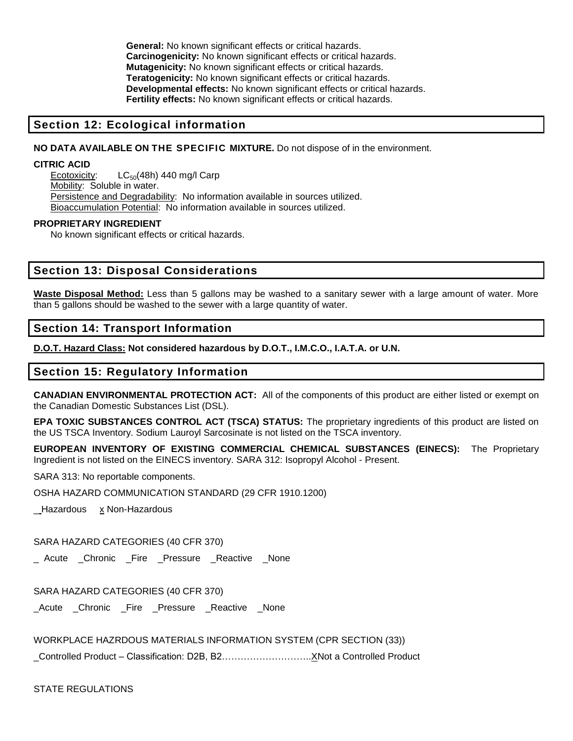**General:** No known significant effects or critical hazards. **Carcinogenicity:** No known significant effects or critical hazards. **Mutagenicity:** No known significant effects or critical hazards. **Teratogenicity:** No known significant effects or critical hazards. **Developmental effects:** No known significant effects or critical hazards. **Fertility effects:** No known significant effects or critical hazards.

## **Section 12: Ecological information**

#### **NO DATA AVAILABLE ON THE SPECIFIC MIXTURE.** Do not dispose of in the environment.

#### **CITRIC ACID**

Ecotoxicity:  $LC_{50}(48h)$  440 mg/l Carp Mobility: Soluble in water. Persistence and Degradability: No information available in sources utilized. Bioaccumulation Potential: No information available in sources utilized.

#### **PROPRIETARY INGREDIENT**

No known significant effects or critical hazards.

## **Section 13: Disposal Considerations**

**Waste Disposal Method:** Less than 5 gallons may be washed to a sanitary sewer with a large amount of water. More than 5 gallons should be washed to the sewer with a large quantity of water.

### **Section 14: Transport Information**

**D.O.T. Hazard Class: Not considered hazardous by D.O.T., I.M.C.O., I.A.T.A. or U.N.** 

### **Section 15: Regulatory Information**

**CANADIAN ENVIRONMENTAL PROTECTION ACT:** All of the components of this product are either listed or exempt on the Canadian Domestic Substances List (DSL).

**EPA TOXIC SUBSTANCES CONTROL ACT (TSCA) STATUS:** The proprietary ingredients of this product are listed on the US TSCA Inventory. Sodium Lauroyl Sarcosinate is not listed on the TSCA inventory.

**EUROPEAN INVENTORY OF EXISTING COMMERCIAL CHEMICAL SUBSTANCES (EINECS):** The Proprietary Ingredient is not listed on the EINECS inventory. SARA 312: Isopropyl Alcohol - Present.

SARA 313: No reportable components.

OSHA HAZARD COMMUNICATION STANDARD (29 CFR 1910.1200)

\_Hazardous x Non-Hazardous

SARA HAZARD CATEGORIES (40 CFR 370)

\_ Acute \_Chronic \_Fire \_Pressure \_Reactive \_None

SARA HAZARD CATEGORIES (40 CFR 370)

\_Acute \_Chronic \_Fire \_Pressure \_Reactive \_None

WORKPLACE HAZRDOUS MATERIALS INFORMATION SYSTEM (CPR SECTION (33))

\_Controlled Product – Classification: D2B, B2………………………..XNot a Controlled Product